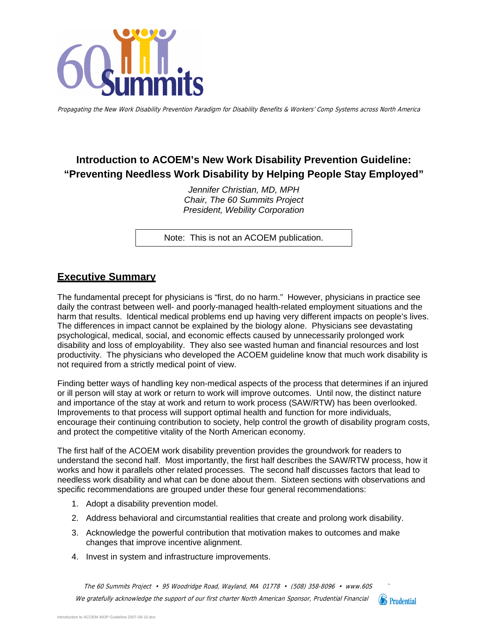

Propagating the New Work Disability Prevention Paradigm for Disability Benefits & Workers' Comp Systems across North America

# **Introduction to ACOEM's New Work Disability Prevention Guideline: "Preventing Needless Work Disability by Helping People Stay Employed"**

*Jennifer Christian, MD, MPH Chair, The 60 Summits Project President, Webility Corporation* 

Note: This is not an ACOEM publication.

### **Executive Summary**

The fundamental precept for physicians is "first, do no harm." However, physicians in practice see daily the contrast between well- and poorly-managed health-related employment situations and the harm that results. Identical medical problems end up having very different impacts on people's lives. The differences in impact cannot be explained by the biology alone. Physicians see devastating psychological, medical, social, and economic effects caused by unnecessarily prolonged work disability and loss of employability. They also see wasted human and financial resources and lost productivity. The physicians who developed the ACOEM guideline know that much work disability is not required from a strictly medical point of view.

Finding better ways of handling key non-medical aspects of the process that determines if an injured or ill person will stay at work or return to work will improve outcomes. Until now, the distinct nature and importance of the stay at work and return to work process (SAW/RTW) has been overlooked. Improvements to that process will support optimal health and function for more individuals, encourage their continuing contribution to society, help control the growth of disability program costs, and protect the competitive vitality of the North American economy.

The first half of the ACOEM work disability prevention provides the groundwork for readers to understand the second half. Most importantly, the first half describes the SAW/RTW process, how it works and how it parallels other related processes. The second half discusses factors that lead to needless work disability and what can be done about them. Sixteen sections with observations and specific recommendations are grouped under these four general recommendations:

- 1. Adopt a disability prevention model.
- 2. Address behavioral and circumstantial realities that create and prolong work disability.
- 3. Acknowledge the powerful contribution that motivation makes to outcomes and make changes that improve incentive alignment.
- 4. Invest in system and infrastructure improvements.

The 60 Summits Project • 95 Woodridge Road, Wayland, MA 01778 • (508) 358-8096 • www.60S. We gratefully acknowledge the support of our first charter North American Sponsor, Prudential Financial

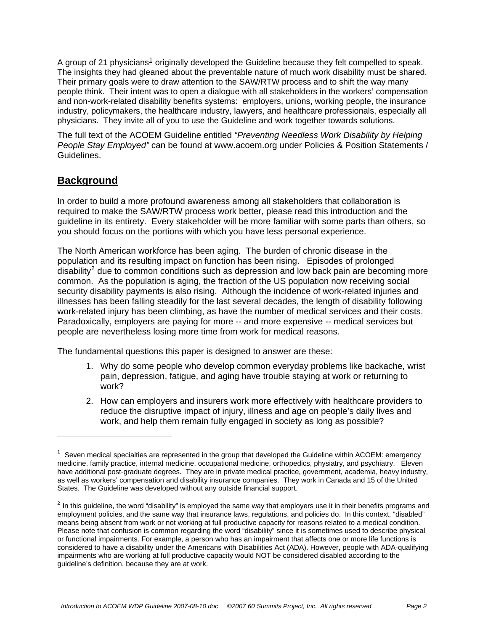A group of 2[1](#page-1-0) physicians<sup>1</sup> originally developed the Guideline because they felt compelled to speak. The insights they had gleaned about the preventable nature of much work disability must be shared. Their primary goals were to draw attention to the SAW/RTW process and to shift the way many people think. Their intent was to open a dialogue with all stakeholders in the workers' compensation and non-work-related disability benefits systems: employers, unions, working people, the insurance industry, policymakers, the healthcare industry, lawyers, and healthcare professionals, especially all physicians. They invite all of you to use the Guideline and work together towards solutions.

The full text of the ACOEM Guideline entitled *"Preventing Needless Work Disability by Helping People Stay Employed"* can be found at www.acoem.org under Policies & Position Statements / Guidelines.

### **Background**

 $\overline{a}$ 

In order to build a more profound awareness among all stakeholders that collaboration is required to make the SAW/RTW process work better, please read this introduction and the guideline in its entirety. Every stakeholder will be more familiar with some parts than others, so you should focus on the portions with which you have less personal experience.

The North American workforce has been aging. The burden of chronic disease in the population and its resulting impact on function has been rising. Episodes of prolonged disability<sup>[2](#page-1-1)</sup> due to common conditions such as depression and low back pain are becoming more common. As the population is aging, the fraction of the US population now receiving social security disability payments is also rising. Although the incidence of work-related injuries and illnesses has been falling steadily for the last several decades, the length of disability following work-related injury has been climbing, as have the number of medical services and their costs. Paradoxically, employers are paying for more -- and more expensive -- medical services but people are nevertheless losing more time from work for medical reasons.

The fundamental questions this paper is designed to answer are these:

- 1. Why do some people who develop common everyday problems like backache, wrist pain, depression, fatigue, and aging have trouble staying at work or returning to work?
- 2. How can employers and insurers work more effectively with healthcare providers to reduce the disruptive impact of injury, illness and age on people's daily lives and work, and help them remain fully engaged in society as long as possible?

<span id="page-1-0"></span> $1$  Seven medical specialties are represented in the group that developed the Guideline within ACOEM: emergency medicine, family practice, internal medicine, occupational medicine, orthopedics, physiatry, and psychiatry. Eleven have additional post-graduate degrees. They are in private medical practice, government, academia, heavy industry, as well as workers' compensation and disability insurance companies. They work in Canada and 15 of the United States. The Guideline was developed without any outside financial support.

<span id="page-1-1"></span> $2$  In this guideline, the word "disability" is employed the same way that employers use it in their benefits programs and employment policies, and the same way that insurance laws, regulations, and policies do. In this context, "disabled" means being absent from work or not working at full productive capacity for reasons related to a medical condition. Please note that confusion is common regarding the word "disability" since it is sometimes used to describe physical or functional impairments. For example, a person who has an impairment that affects one or more life functions is considered to have a disability under the Americans with Disabilities Act (ADA). However, people with ADA-qualifying impairments who are working at full productive capacity would NOT be considered disabled according to the guideline's definition, because they are at work.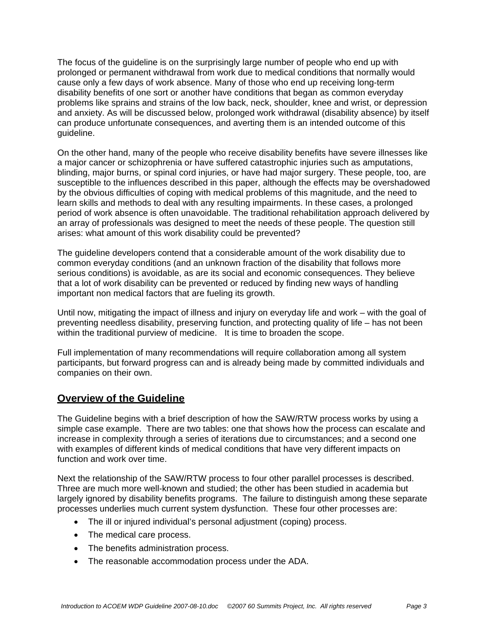The focus of the guideline is on the surprisingly large number of people who end up with prolonged or permanent withdrawal from work due to medical conditions that normally would cause only a few days of work absence. Many of those who end up receiving long-term disability benefits of one sort or another have conditions that began as common everyday problems like sprains and strains of the low back, neck, shoulder, knee and wrist, or depression and anxiety. As will be discussed below, prolonged work withdrawal (disability absence) by itself can produce unfortunate consequences, and averting them is an intended outcome of this guideline.

On the other hand, many of the people who receive disability benefits have severe illnesses like a major cancer or schizophrenia or have suffered catastrophic injuries such as amputations, blinding, major burns, or spinal cord injuries, or have had major surgery. These people, too, are susceptible to the influences described in this paper, although the effects may be overshadowed by the obvious difficulties of coping with medical problems of this magnitude, and the need to learn skills and methods to deal with any resulting impairments. In these cases, a prolonged period of work absence is often unavoidable. The traditional rehabilitation approach delivered by an array of professionals was designed to meet the needs of these people. The question still arises: what amount of this work disability could be prevented?

The guideline developers contend that a considerable amount of the work disability due to common everyday conditions (and an unknown fraction of the disability that follows more serious conditions) is avoidable, as are its social and economic consequences. They believe that a lot of work disability can be prevented or reduced by finding new ways of handling important non medical factors that are fueling its growth.

Until now, mitigating the impact of illness and injury on everyday life and work – with the goal of preventing needless disability, preserving function, and protecting quality of life – has not been within the traditional purview of medicine. It is time to broaden the scope.

Full implementation of many recommendations will require collaboration among all system participants, but forward progress can and is already being made by committed individuals and companies on their own.

### **Overview of the Guideline**

The Guideline begins with a brief description of how the SAW/RTW process works by using a simple case example. There are two tables: one that shows how the process can escalate and increase in complexity through a series of iterations due to circumstances; and a second one with examples of different kinds of medical conditions that have very different impacts on function and work over time.

Next the relationship of the SAW/RTW process to four other parallel processes is described. Three are much more well-known and studied; the other has been studied in academia but largely ignored by disability benefits programs. The failure to distinguish among these separate processes underlies much current system dysfunction. These four other processes are:

- The ill or injured individual's personal adjustment (coping) process.
- The medical care process.
- The benefits administration process.
- The reasonable accommodation process under the ADA.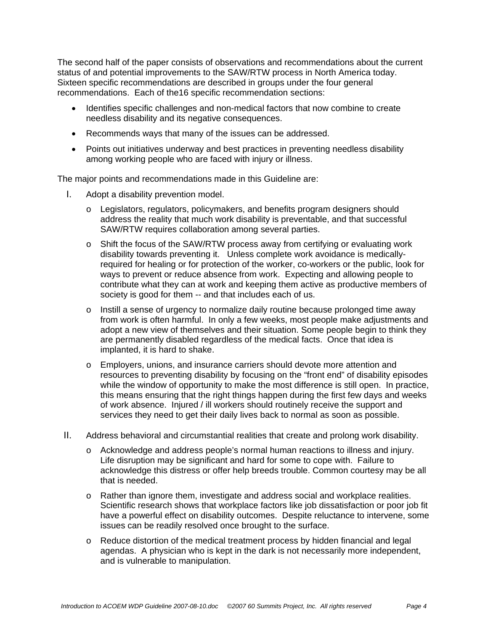The second half of the paper consists of observations and recommendations about the current status of and potential improvements to the SAW/RTW process in North America today. Sixteen specific recommendations are described in groups under the four general recommendations. Each of the16 specific recommendation sections:

- Identifies specific challenges and non-medical factors that now combine to create needless disability and its negative consequences.
- Recommends ways that many of the issues can be addressed.
- Points out initiatives underway and best practices in preventing needless disability among working people who are faced with injury or illness.

The major points and recommendations made in this Guideline are:

- I. Adopt a disability prevention model.
	- o Legislators, regulators, policymakers, and benefits program designers should address the reality that much work disability is preventable, and that successful SAW/RTW requires collaboration among several parties.
	- o Shift the focus of the SAW/RTW process away from certifying or evaluating work disability towards preventing it. Unless complete work avoidance is medicallyrequired for healing or for protection of the worker, co-workers or the public, look for ways to prevent or reduce absence from work. Expecting and allowing people to contribute what they can at work and keeping them active as productive members of society is good for them -- and that includes each of us.
	- $\circ$  Instill a sense of urgency to normalize daily routine because prolonged time away from work is often harmful. In only a few weeks, most people make adjustments and adopt a new view of themselves and their situation. Some people begin to think they are permanently disabled regardless of the medical facts. Once that idea is implanted, it is hard to shake.
	- o Employers, unions, and insurance carriers should devote more attention and resources to preventing disability by focusing on the "front end" of disability episodes while the window of opportunity to make the most difference is still open. In practice, this means ensuring that the right things happen during the first few days and weeks of work absence. Injured / ill workers should routinely receive the support and services they need to get their daily lives back to normal as soon as possible.
- II. Address behavioral and circumstantial realities that create and prolong work disability.
	- o Acknowledge and address people's normal human reactions to illness and injury. Life disruption may be significant and hard for some to cope with. Failure to acknowledge this distress or offer help breeds trouble. Common courtesy may be all that is needed.
	- o Rather than ignore them, investigate and address social and workplace realities. Scientific research shows that workplace factors like job dissatisfaction or poor job fit have a powerful effect on disability outcomes. Despite reluctance to intervene, some issues can be readily resolved once brought to the surface.
	- $\circ$  Reduce distortion of the medical treatment process by hidden financial and legal agendas. A physician who is kept in the dark is not necessarily more independent, and is vulnerable to manipulation.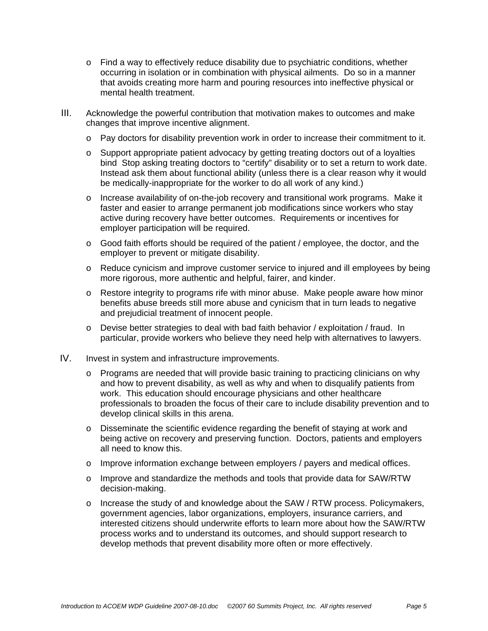- $\circ$  Find a way to effectively reduce disability due to psychiatric conditions, whether occurring in isolation or in combination with physical ailments. Do so in a manner that avoids creating more harm and pouring resources into ineffective physical or mental health treatment.
- III. Acknowledge the powerful contribution that motivation makes to outcomes and make changes that improve incentive alignment.
	- o Pay doctors for disability prevention work in order to increase their commitment to it.
	- o Support appropriate patient advocacy by getting treating doctors out of a loyalties bind Stop asking treating doctors to "certify" disability or to set a return to work date. Instead ask them about functional ability (unless there is a clear reason why it would be medically-inappropriate for the worker to do all work of any kind.)
	- o Increase availability of on-the-job recovery and transitional work programs. Make it faster and easier to arrange permanent job modifications since workers who stay active during recovery have better outcomes. Requirements or incentives for employer participation will be required.
	- $\circ$  Good faith efforts should be required of the patient / employee, the doctor, and the employer to prevent or mitigate disability.
	- o Reduce cynicism and improve customer service to injured and ill employees by being more rigorous, more authentic and helpful, fairer, and kinder.
	- $\circ$  Restore integrity to programs rife with minor abuse. Make people aware how minor benefits abuse breeds still more abuse and cynicism that in turn leads to negative and prejudicial treatment of innocent people.
	- $\circ$  Devise better strategies to deal with bad faith behavior / exploitation / fraud. In particular, provide workers who believe they need help with alternatives to lawyers.
- IV. Invest in system and infrastructure improvements.
	- o Programs are needed that will provide basic training to practicing clinicians on why and how to prevent disability, as well as why and when to disqualify patients from work. This education should encourage physicians and other healthcare professionals to broaden the focus of their care to include disability prevention and to develop clinical skills in this arena.
	- $\circ$  Disseminate the scientific evidence regarding the benefit of staying at work and being active on recovery and preserving function. Doctors, patients and employers all need to know this.
	- o Improve information exchange between employers / payers and medical offices.
	- $\circ$  Improve and standardize the methods and tools that provide data for SAW/RTW decision-making.
	- $\circ$  Increase the study of and knowledge about the SAW / RTW process. Policymakers, government agencies, labor organizations, employers, insurance carriers, and interested citizens should underwrite efforts to learn more about how the SAW/RTW process works and to understand its outcomes, and should support research to develop methods that prevent disability more often or more effectively.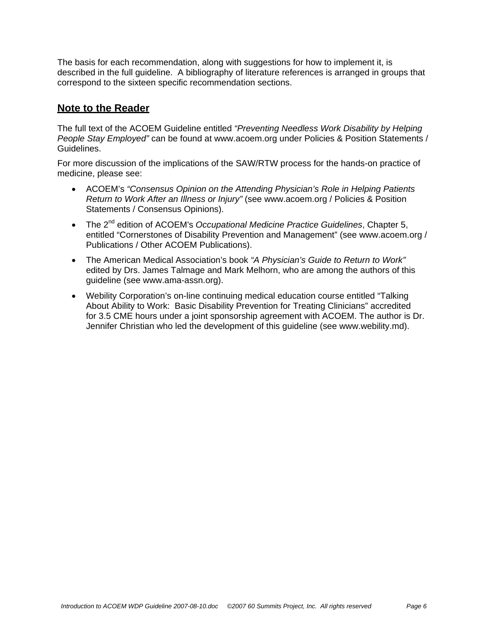The basis for each recommendation, along with suggestions for how to implement it, is described in the full guideline. A bibliography of literature references is arranged in groups that correspond to the sixteen specific recommendation sections.

### **Note to the Reader**

The full text of the ACOEM Guideline entitled *"Preventing Needless Work Disability by Helping People Stay Employed"* can be found at www.acoem.org under Policies & Position Statements / Guidelines.

For more discussion of the implications of the SAW/RTW process for the hands-on practice of medicine, please see:

- ACOEM's *"Consensus Opinion on the Attending Physician's Role in Helping Patients Return to Work After an Illness or Injury"* (see www.acoem.org / Policies & Position Statements / Consensus Opinions).
- The 2<sup>nd</sup> edition of ACOEM's *Occupational Medicine Practice Guidelines*, Chapter 5, entitled "Cornerstones of Disability Prevention and Management" (see www.acoem.org / Publications / Other ACOEM Publications).
- The American Medical Association's book *"A Physician's Guide to Return to Work"* edited by Drs. James Talmage and Mark Melhorn, who are among the authors of this guideline (see www.ama-assn.org).
- Webility Corporation's on-line continuing medical education course entitled "Talking About Ability to Work: Basic Disability Prevention for Treating Clinicians" accredited for 3.5 CME hours under a joint sponsorship agreement with ACOEM. The author is Dr. Jennifer Christian who led the development of this guideline (see www.webility.md).